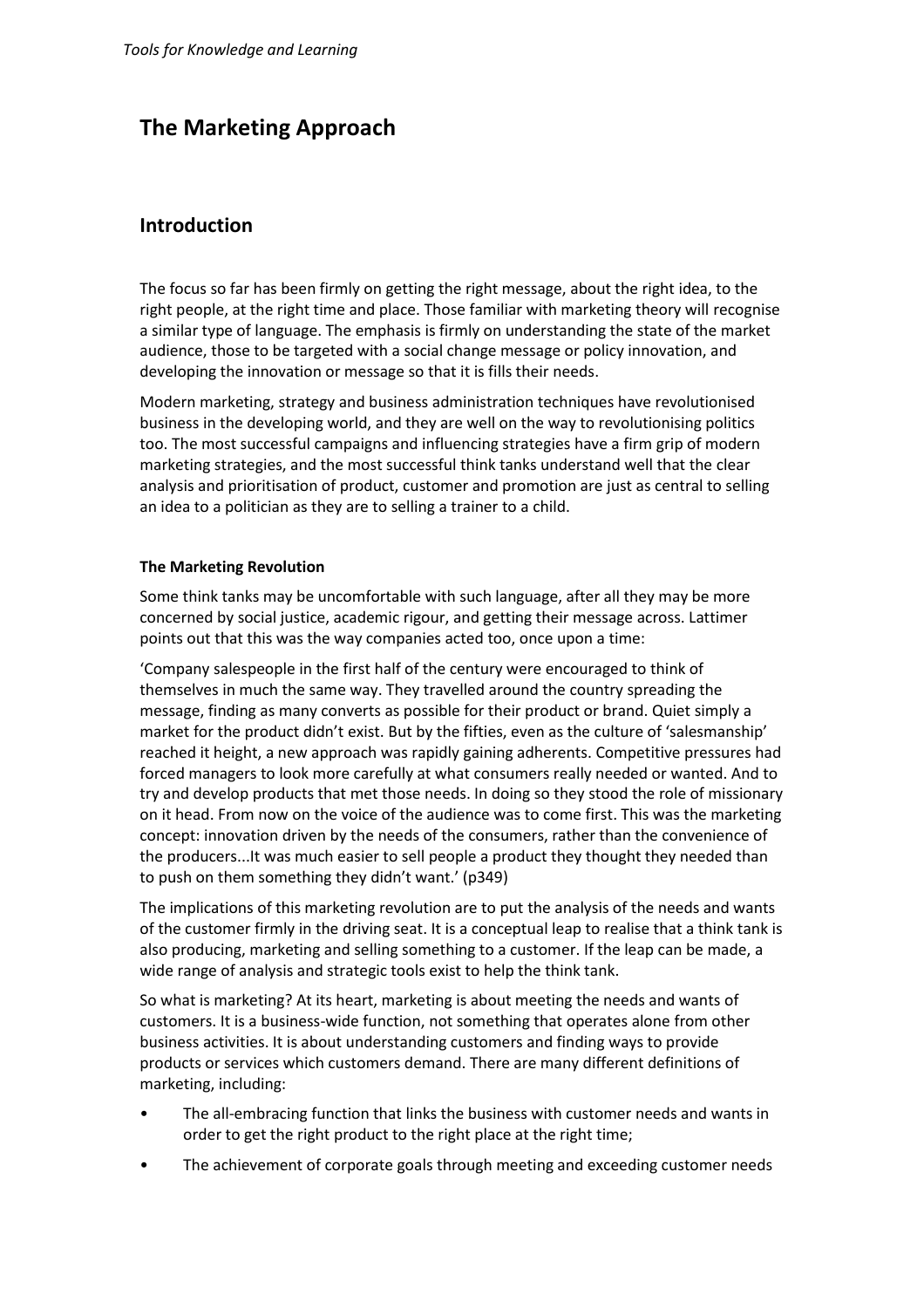# **The Marketing Approach**

## **Introduction**

The focus so far has been firmly on getting the right message, about the right idea, to the right people, at the right time and place. Those familiar with marketing theory will recognise a similar type of language. The emphasis is firmly on understanding the state of the market audience, those to be targeted with a social change message or policy innovation, and developing the innovation or message so that it is fills their needs.

Modern marketing, strategy and business administration techniques have revolutionised business in the developing world, and they are well on the way to revolutionising politics too. The most successful campaigns and influencing strategies have a firm grip of modern marketing strategies, and the most successful think tanks understand well that the clear analysis and prioritisation of product, customer and promotion are just as central to selling an idea to a politician as they are to selling a trainer to a child.

### **The Marketing Revolution**

Some think tanks may be uncomfortable with such language, after all they may be more concerned by social justice, academic rigour, and getting their message across. Lattimer points out that this was the way companies acted too, once upon a time:

'Company salespeople in the first half of the century were encouraged to think of themselves in much the same way. They travelled around the country spreading the message, finding as many converts as possible for their product or brand. Quiet simply a market for the product didn't exist. But by the fifties, even as the culture of 'salesmanship' reached it height, a new approach was rapidly gaining adherents. Competitive pressures had forced managers to look more carefully at what consumers really needed or wanted. And to try and develop products that met those needs. In doing so they stood the role of missionary on it head. From now on the voice of the audience was to come first. This was the marketing concept: innovation driven by the needs of the consumers, rather than the convenience of the producers...It was much easier to sell people a product they thought they needed than to push on them something they didn't want.' (p349)

The implications of this marketing revolution are to put the analysis of the needs and wants of the customer firmly in the driving seat. It is a conceptual leap to realise that a think tank is also producing, marketing and selling something to a customer. If the leap can be made, a wide range of analysis and strategic tools exist to help the think tank.

So what is marketing? At its heart, marketing is about meeting the needs and wants of customers. It is a business-wide function, not something that operates alone from other business activities. It is about understanding customers and finding ways to provide products or services which customers demand. There are many different definitions of marketing, including:

- The all-embracing function that links the business with customer needs and wants in order to get the right product to the right place at the right time;
- The achievement of corporate goals through meeting and exceeding customer needs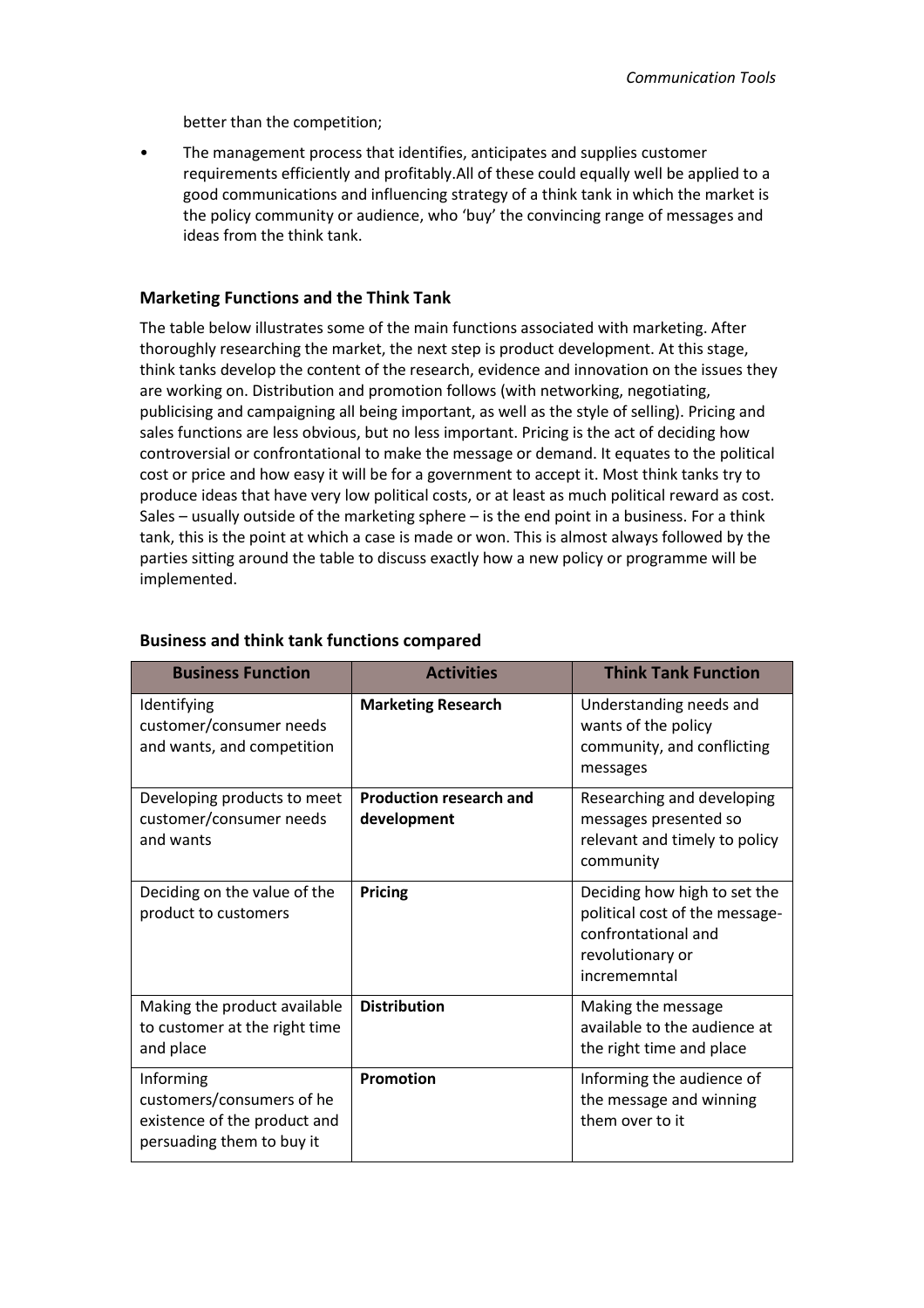better than the competition;

• The management process that identifies, anticipates and supplies customer requirements efficiently and profitably.All of these could equally well be applied to a good communications and influencing strategy of a think tank in which the market is the policy community or audience, who 'buy' the convincing range of messages and ideas from the think tank.

## **Marketing Functions and the Think Tank**

The table below illustrates some of the main functions associated with marketing. After thoroughly researching the market, the next step is product development. At this stage, think tanks develop the content of the research, evidence and innovation on the issues they are working on. Distribution and promotion follows (with networking, negotiating, publicising and campaigning all being important, as well as the style of selling). Pricing and sales functions are less obvious, but no less important. Pricing is the act of deciding how controversial or confrontational to make the message or demand. It equates to the political cost or price and how easy it will be for a government to accept it. Most think tanks try to produce ideas that have very low political costs, or at least as much political reward as cost. Sales – usually outside of the marketing sphere – is the end point in a business. For a think tank, this is the point at which a case is made or won. This is almost always followed by the parties sitting around the table to discuss exactly how a new policy or programme will be implemented.

| <b>Business Function</b>                                                                            | <b>Activities</b>                             | <b>Think Tank Function</b>                                                                                                |
|-----------------------------------------------------------------------------------------------------|-----------------------------------------------|---------------------------------------------------------------------------------------------------------------------------|
| Identifying<br>customer/consumer needs<br>and wants, and competition                                | <b>Marketing Research</b>                     | Understanding needs and<br>wants of the policy<br>community, and conflicting<br>messages                                  |
| Developing products to meet<br>customer/consumer needs<br>and wants                                 | <b>Production research and</b><br>development | Researching and developing<br>messages presented so<br>relevant and timely to policy<br>community                         |
| Deciding on the value of the<br>product to customers                                                | <b>Pricing</b>                                | Deciding how high to set the<br>political cost of the message-<br>confrontational and<br>revolutionary or<br>incrememntal |
| Making the product available<br>to customer at the right time<br>and place                          | <b>Distribution</b>                           | Making the message<br>available to the audience at<br>the right time and place                                            |
| Informing<br>customers/consumers of he<br>existence of the product and<br>persuading them to buy it | <b>Promotion</b>                              | Informing the audience of<br>the message and winning<br>them over to it                                                   |

## **Business and think tank functions compared**